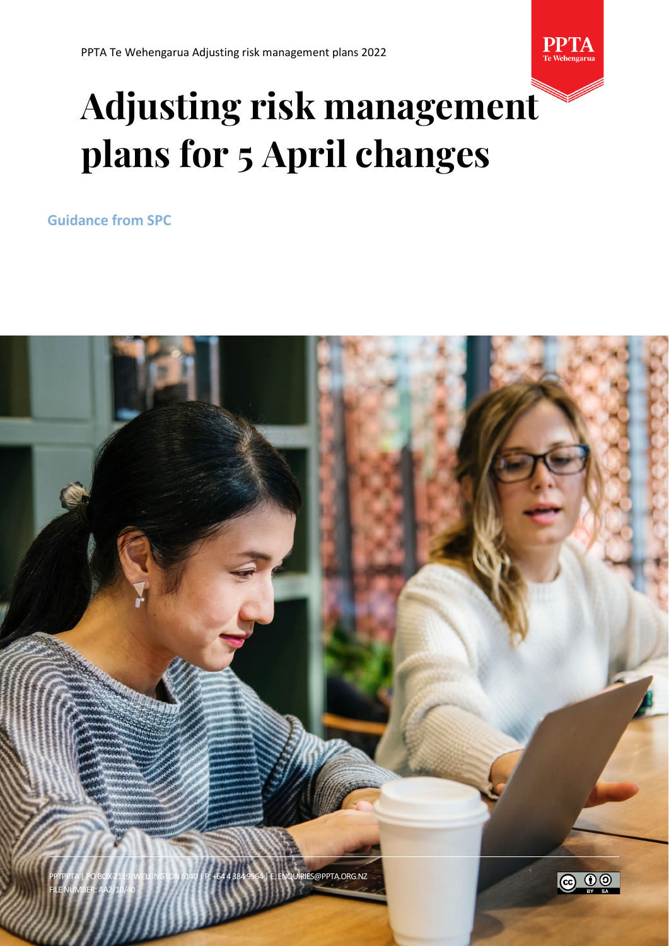

# **Adjusting risk management plans for 5 April changes**

**Guidance from SPC**

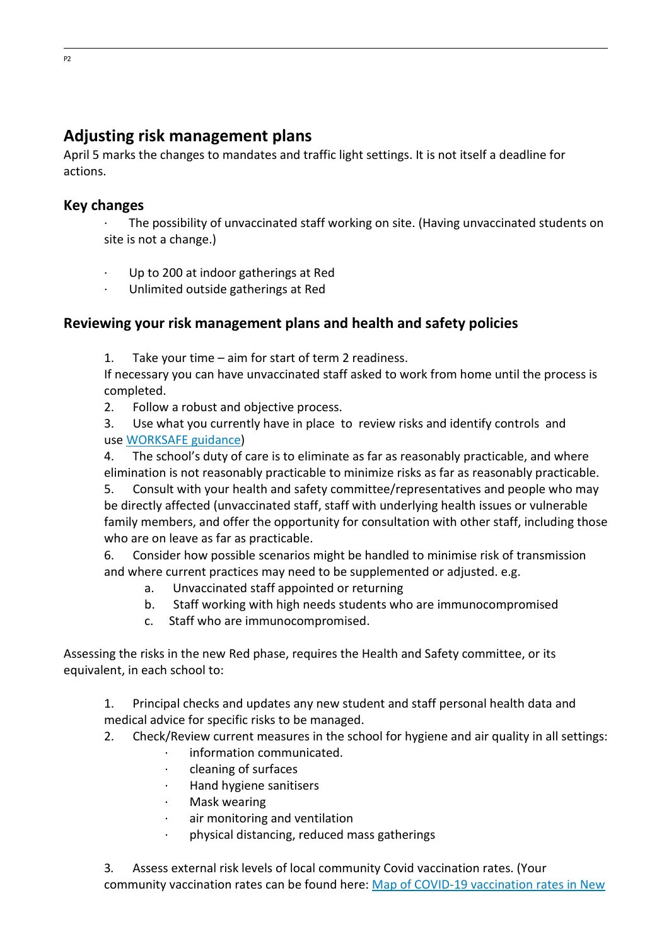# **Adjusting risk management plans**

April 5 marks the changes to mandates and traffic light settings. It is not itself a deadline for actions.

#### **Key changes**

· The possibility of unvaccinated staff working on site. (Having unvaccinated students on site is not a change.)

- Up to 200 at indoor gatherings at Red
- · Unlimited outside gatherings at Red

### **Reviewing your risk management plans and health and safety policies**

1. Take your time – aim for start of term 2 readiness.

If necessary you can have unvaccinated staff asked to work from home until the process is completed.

2. Follow a robust and objective process.

3. Use what you currently have in place to review risks and identify controls and use [WORKSAFE guidance\)](https://aus01.safelinks.protection.outlook.com/?url=https%3A%2F%2Fwww.worksafe.govt.nz%2Fmanaging-health-and-safety%2Fnovel-coronavirus-covid%2Fcovid-19-controls-at-work%2F&data=04%7C01%7Crwilletts%40ppta.org.nz%7C97e53c7e3cdd405e768608da15c74426%7Cbb73acb6db954157bba1421b0e7442d7%7C0%7C1%7C637846242837096640%7CUnknown%7CTWFpbGZsb3d8eyJWIjoiMC4wLjAwMDAiLCJQIjoiV2luMzIiLCJBTiI6Ik1haWwiLCJXVCI6Mn0%3D%7C3000&sdata=tTmMJgah8enZCqjSlW1B8WVw0SsZNTTDZpd4W4Vh%2BFo%3D&reserved=0)

4. The school's duty of care is to eliminate as far as reasonably practicable, and where elimination is not reasonably practicable to minimize risks as far as reasonably practicable.

5. Consult with your health and safety committee/representatives and people who may be directly affected (unvaccinated staff, staff with underlying health issues or vulnerable family members, and offer the opportunity for consultation with other staff, including those who are on leave as far as practicable.

6. Consider how possible scenarios might be handled to minimise risk of transmission and where current practices may need to be supplemented or adjusted. e.g.

- a. Unvaccinated staff appointed or returning
- b. Staff working with high needs students who are immunocompromised
- c. Staff who are immunocompromised.

Assessing the risks in the new Red phase, requires the Health and Safety committee, or its equivalent, in each school to:

1. Principal checks and updates any new student and staff personal health data and medical advice for specific risks to be managed.

- 2. Check/Review current measures in the school for hygiene and air quality in all settings:
	- · information communicated.
	- · cleaning of surfaces
	- · Hand hygiene sanitisers
	- · Mask wearing
	- air monitoring and ventilation
	- · physical distancing, reduced mass gatherings

3*.* Assess external risk levels of local community Covid vaccination rates. (Your community vaccination rates can be found here: [Map of COVID-19 vaccination rates in New](https://aus01.safelinks.protection.outlook.com/?url=https%3A%2F%2Fcovid19.govt.nz%2Fnews-and-data%2Fcovid-19-vaccination-rates-around-new-zealand%2F&data=04%7C01%7Crwilletts%40ppta.org.nz%7C97e53c7e3cdd405e768608da15c74426%7Cbb73acb6db954157bba1421b0e7442d7%7C0%7C1%7C637846242837096640%7CUnknown%7CTWFpbGZsb3d8eyJWIjoiMC4wLjAwMDAiLCJQIjoiV2luMzIiLCJBTiI6Ik1haWwiLCJXVCI6Mn0%3D%7C3000&sdata=tkmU253oDfDzEabXnq2OQ0jQI30QomeHzgl4QyupJnQ%3D&reserved=0)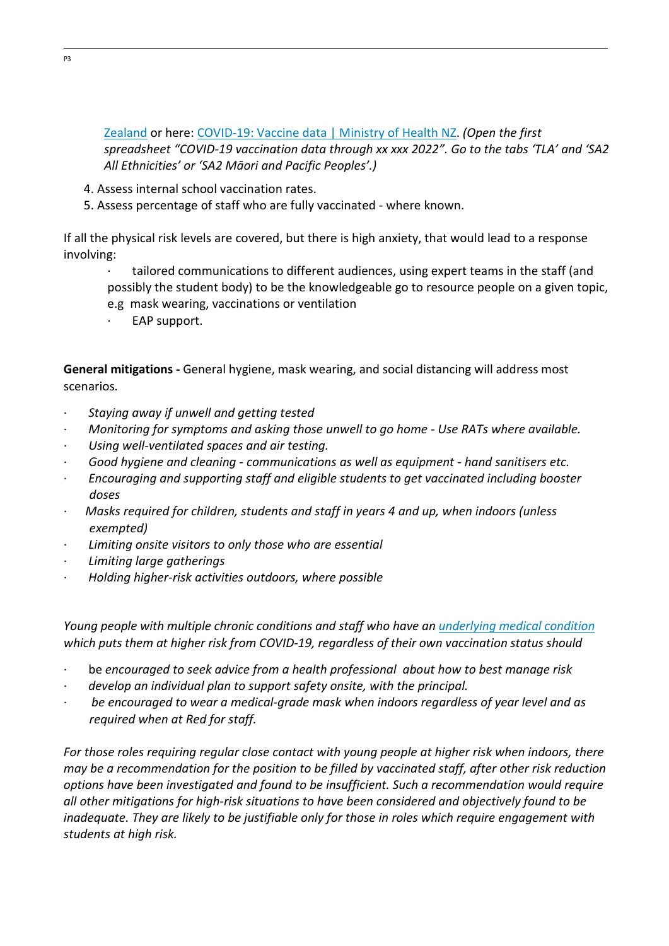[Zealand](https://aus01.safelinks.protection.outlook.com/?url=https%3A%2F%2Fcovid19.govt.nz%2Fnews-and-data%2Fcovid-19-vaccination-rates-around-new-zealand%2F&data=04%7C01%7Crwilletts%40ppta.org.nz%7C97e53c7e3cdd405e768608da15c74426%7Cbb73acb6db954157bba1421b0e7442d7%7C0%7C1%7C637846242837096640%7CUnknown%7CTWFpbGZsb3d8eyJWIjoiMC4wLjAwMDAiLCJQIjoiV2luMzIiLCJBTiI6Ik1haWwiLCJXVCI6Mn0%3D%7C3000&sdata=tkmU253oDfDzEabXnq2OQ0jQI30QomeHzgl4QyupJnQ%3D&reserved=0) or here: [COVID-19: Vaccine data | Ministry of Health NZ.](https://aus01.safelinks.protection.outlook.com/?url=https%3A%2F%2Fwww.health.govt.nz%2Fcovid-19-novel-coronavirus%2Fcovid-19-data-and-statistics%2Fcovid-19-vaccine-data%23download&data=04%7C01%7Crwilletts%40ppta.org.nz%7C97e53c7e3cdd405e768608da15c74426%7Cbb73acb6db954157bba1421b0e7442d7%7C0%7C1%7C637846242837096640%7CUnknown%7CTWFpbGZsb3d8eyJWIjoiMC4wLjAwMDAiLCJQIjoiV2luMzIiLCJBTiI6Ik1haWwiLCJXVCI6Mn0%3D%7C3000&sdata=%2FHZnrVDC0LVaVCBvOlXq1ijrZrCyKRnKTzcA4gk606Q%3D&reserved=0) *(Open the first spreadsheet "COVID-19 vaccination data through xx xxx 2022". Go to the tabs 'TLA' and 'SA2 All Ethnicities' or 'SA2 Māori and Pacific Peoples'.)*

- 4. Assess internal school vaccination rates.
- 5. Assess percentage of staff who are fully vaccinated where known.

If all the physical risk levels are covered, but there is high anxiety, that would lead to a response involving:

- tailored communications to different audiences, using expert teams in the staff (and possibly the student body) to be the knowledgeable go to resource people on a given topic,
- e.g mask wearing, vaccinations or ventilation
- EAP support.

**General mitigations -** General hygiene, mask wearing, and social distancing will address most scenarios.

- · *Staying away if unwell and getting tested*
- · *Monitoring for symptoms and asking those unwell to go home Use RATs where available.*
- · *Using well-ventilated spaces and air testing.*
- · *Good hygiene and cleaning communications as well as equipment hand sanitisers etc.*
- · *Encouraging and supporting staff and eligible students to get vaccinated including booster doses*
- · *Masks required for children, students and staff in years 4 and up, when indoors (unless exempted)*
- Limiting onsite visitors to only those who are essential
- · *Limiting large gatherings*
- · *Holding higher-risk activities outdoors, where possible*

*Young people with multiple chronic conditions and staff who have an [underlying medical condition](https://aus01.safelinks.protection.outlook.com/?url=https%3A%2F%2Fcovid19.govt.nz%2Fprepare-and-stay-safe%2Fpeople-at-higher-risk-of-severe-illness-from-covid-19%2F%23who-is-at-higher-risk-of-covid-19&data=04%7C01%7Crwilletts%40ppta.org.nz%7C97e53c7e3cdd405e768608da15c74426%7Cbb73acb6db954157bba1421b0e7442d7%7C0%7C1%7C637846242837096640%7CUnknown%7CTWFpbGZsb3d8eyJWIjoiMC4wLjAwMDAiLCJQIjoiV2luMzIiLCJBTiI6Ik1haWwiLCJXVCI6Mn0%3D%7C3000&sdata=M2Cxy%2BHasnmF291Tvm8vhqA45275vtU3PFFOvZwdJBw%3D&reserved=0) which puts them at higher risk from COVID-19, regardless of their own vaccination status should*

- · be *encouraged to seek advice from a health professional about how to best manage risk*
- · *develop an individual plan to support safety onsite, with the principal.*
- · *be encouraged to wear a medical-grade mask when indoors regardless of year level and as required when at Red for staff.*

*For those roles requiring regular close contact with young people at higher risk when indoors, there may be a recommendation for the position to be filled by vaccinated staff, after other risk reduction options have been investigated and found to be insufficient. Such a recommendation would require all other mitigations for high-risk situations to have been considered and objectively found to be inadequate. They are likely to be justifiable only for those in roles which require engagement with students at high risk.*